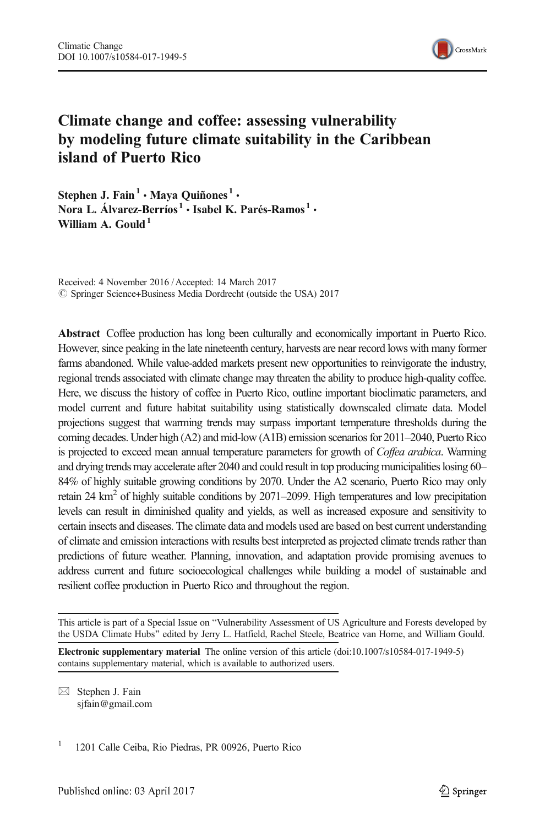

# Climate change and coffee: assessing vulnerability by modeling future climate suitability in the Caribbean island of Puerto Rico

Stephen J. Fain<sup>1</sup> • Maya Quiñones<sup>1</sup> • Nora L. Álvarez-Berríos $^1$  • Isabel K. Parés-Ramos $^1$  • William A. Gould<sup>1</sup>

Received: 4 November 2016 /Accepted: 14 March 2017  $\circledcirc$  Springer Science+Business Media Dordrecht (outside the USA) 2017

Abstract Coffee production has long been culturally and economically important in Puerto Rico. However, since peaking in the late nineteenth century, harvests are near record lows with many former farms abandoned. While value-added markets present new opportunities to reinvigorate the industry, regional trends associated with climate change may threaten the ability to produce high-quality coffee. Here, we discuss the history of coffee in Puerto Rico, outline important bioclimatic parameters, and model current and future habitat suitability using statistically downscaled climate data. Model projections suggest that warming trends may surpass important temperature thresholds during the coming decades. Under high (A2) and mid-low (A1B) emission scenarios for 2011–2040, Puerto Rico is projected to exceed mean annual temperature parameters for growth of Coffea arabica. Warming and drying trends may accelerate after 2040 and could result in top producing municipalities losing 60– 84% of highly suitable growing conditions by 2070. Under the A2 scenario, Puerto Rico may only retain 24  $\text{km}^2$  of highly suitable conditions by 2071–2099. High temperatures and low precipitation levels can result in diminished quality and yields, as well as increased exposure and sensitivity to certain insects and diseases. The climate data and models used are based on best current understanding of climate and emission interactions with results best interpreted as projected climate trends rather than predictions of future weather. Planning, innovation, and adaptation provide promising avenues to address current and future socioecological challenges while building a model of sustainable and resilient coffee production in Puerto Rico and throughout the region.

Electronic supplementary material The online version of this article (doi:[10.1007/s10584-017-1949-5\)](http://dx.doi.org/10.1007/s10584-017-1949-5) contains supplementary material, which is available to authorized users.

 $\boxtimes$  Stephen J. Fain sjfain@gmail.com

1 1201 Calle Ceiba, Rio Piedras, PR 00926, Puerto Rico

This article is part of a Special Issue on "Vulnerability Assessment of US Agriculture and Forests developed by the USDA Climate Hubs" edited by Jerry L. Hatfield, Rachel Steele, Beatrice van Horne, and William Gould.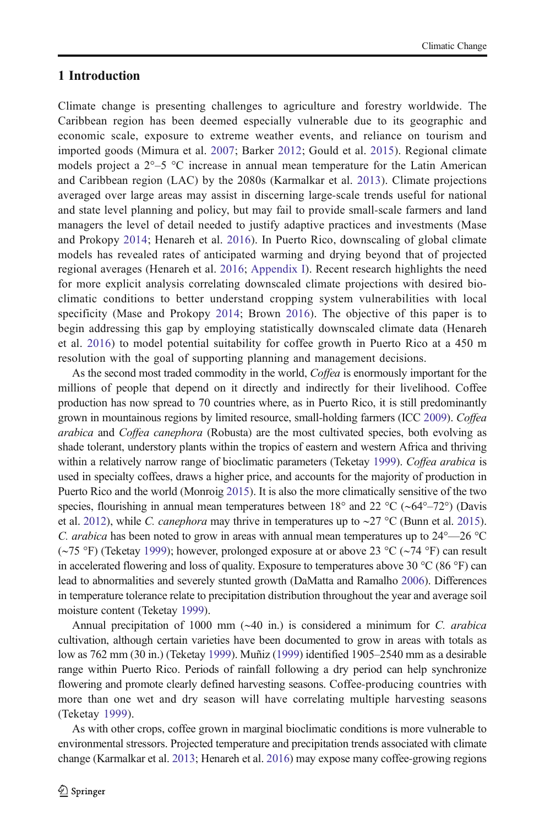# 1 Introduction

Climate change is presenting challenges to agriculture and forestry worldwide. The Caribbean region has been deemed especially vulnerable due to its geographic and economic scale, exposure to extreme weather events, and reliance on tourism and imported goods (Mimura et al. [2007](#page-11-0); Barker [2012](#page-10-0); Gould et al. [2015](#page-10-0)). Regional climate models project a  $2^{\circ}-5$  °C increase in annual mean temperature for the Latin American and Caribbean region (LAC) by the 2080s (Karmalkar et al. [2013](#page-11-0)). Climate projections averaged over large areas may assist in discerning large-scale trends useful for national and state level planning and policy, but may fail to provide small-scale farmers and land managers the level of detail needed to justify adaptive practices and investments (Mase and Prokopy [2014](#page-11-0); Henareh et al. [2016](#page-10-0)). In Puerto Rico, downscaling of global climate models has revealed rates of anticipated warming and drying beyond that of projected regional averages (Henareh et al. [2016;](#page-10-0) Appendix I). Recent research highlights the need for more explicit analysis correlating downscaled climate projections with desired bioclimatic conditions to better understand cropping system vulnerabilities with local specificity (Mase and Prokopy [2014](#page-11-0); Brown [2016](#page-10-0)). The objective of this paper is to begin addressing this gap by employing statistically downscaled climate data (Henareh et al. [2016\)](#page-10-0) to model potential suitability for coffee growth in Puerto Rico at a 450 m resolution with the goal of supporting planning and management decisions.

As the second most traded commodity in the world, Coffea is enormously important for the millions of people that depend on it directly and indirectly for their livelihood. Coffee production has now spread to 70 countries where, as in Puerto Rico, it is still predominantly grown in mountainous regions by limited resource, small-holding farmers (ICC [2009](#page-10-0)). Coffea arabica and Coffea canephora (Robusta) are the most cultivated species, both evolving as shade tolerant, understory plants within the tropics of eastern and western Africa and thriving within a relatively narrow range of bioclimatic parameters (Teketay [1999\)](#page-11-0). Coffea arabica is used in specialty coffees, draws a higher price, and accounts for the majority of production in Puerto Rico and the world (Monroig [2015](#page-11-0)). It is also the more climatically sensitive of the two species, flourishing in annual mean temperatures between 18° and 22 °C (∼64°–72°) (Davis et al. [2012\)](#page-10-0), while *C. canephora* may thrive in temperatures up to ∼27 °C (Bunn et al. [2015](#page-10-0)). C. arabica has been noted to grow in areas with annual mean temperatures up to  $24^{\circ}$ — $26^{\circ}$ C (∼75 °F) (Teketay [1999](#page-11-0)); however, prolonged exposure at or above 23 °C (∼74 °F) can result in accelerated flowering and loss of quality. Exposure to temperatures above 30 °C (86 °F) can lead to abnormalities and severely stunted growth (DaMatta and Ramalho [2006](#page-10-0)). Differences in temperature tolerance relate to precipitation distribution throughout the year and average soil moisture content (Teketay [1999](#page-11-0)).

Annual precipitation of 1000 mm (∼40 in.) is considered a minimum for C. arabica cultivation, although certain varieties have been documented to grow in areas with totals as low as 762 mm (30 in.) (Teketay [1999](#page-11-0)). Muñiz ([1999](#page-11-0)) identified 1905–2540 mm as a desirable range within Puerto Rico. Periods of rainfall following a dry period can help synchronize flowering and promote clearly defined harvesting seasons. Coffee-producing countries with more than one wet and dry season will have correlating multiple harvesting seasons (Teketay [1999\)](#page-11-0).

As with other crops, coffee grown in marginal bioclimatic conditions is more vulnerable to environmental stressors. Projected temperature and precipitation trends associated with climate change (Karmalkar et al. [2013](#page-11-0); Henareh et al. [2016\)](#page-10-0) may expose many coffee-growing regions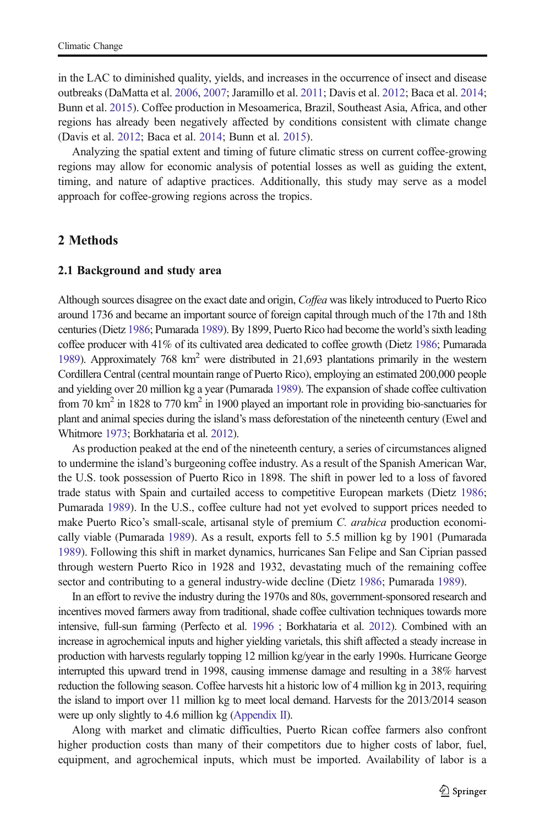in the LAC to diminished quality, yields, and increases in the occurrence of insect and disease outbreaks (DaMatta et al. [2006,](#page-10-0) [2007;](#page-10-0) Jaramillo et al. [2011;](#page-10-0) Davis et al. [2012;](#page-10-0) Baca et al. [2014](#page-10-0); Bunn et al. [2015\)](#page-10-0). Coffee production in Mesoamerica, Brazil, Southeast Asia, Africa, and other regions has already been negatively affected by conditions consistent with climate change (Davis et al. [2012](#page-10-0); Baca et al. [2014](#page-10-0); Bunn et al. [2015](#page-10-0)).

Analyzing the spatial extent and timing of future climatic stress on current coffee-growing regions may allow for economic analysis of potential losses as well as guiding the extent, timing, and nature of adaptive practices. Additionally, this study may serve as a model approach for coffee-growing regions across the tropics.

# 2 Methods

#### 2.1 Background and study area

Although sources disagree on the exact date and origin, Coffea was likely introduced to Puerto Rico around 1736 and became an important source of foreign capital through much of the 17th and 18th centuries (Dietz [1986;](#page-10-0) Pumarada [1989\)](#page-11-0). By 1899, Puerto Rico had become the world's sixth leading coffee producer with 41% of its cultivated area dedicated to coffee growth (Dietz [1986](#page-10-0); Pumarada [1989\)](#page-11-0). Approximately 768 km<sup>2</sup> were distributed in 21,693 plantations primarily in the western Cordillera Central (central mountain range of Puerto Rico), employing an estimated 200,000 people and yielding over 20 million kg a year (Pumarada [1989\)](#page-11-0). The expansion of shade coffee cultivation from 70 km<sup>2</sup> in 1828 to 770 km<sup>2</sup> in 1900 played an important role in providing bio-sanctuaries for plant and animal species during the island's mass deforestation of the nineteenth century (Ewel and Whitmore [1973;](#page-10-0) Borkhataria et al. [2012\)](#page-10-0).

As production peaked at the end of the nineteenth century, a series of circumstances aligned to undermine the island's burgeoning coffee industry. As a result of the Spanish American War, the U.S. took possession of Puerto Rico in 1898. The shift in power led to a loss of favored trade status with Spain and curtailed access to competitive European markets (Dietz [1986](#page-10-0); Pumarada [1989](#page-11-0)). In the U.S., coffee culture had not yet evolved to support prices needed to make Puerto Rico's small-scale, artisanal style of premium C. arabica production economically viable (Pumarada [1989\)](#page-11-0). As a result, exports fell to 5.5 million kg by 1901 (Pumarada [1989](#page-11-0)). Following this shift in market dynamics, hurricanes San Felipe and San Ciprian passed through western Puerto Rico in 1928 and 1932, devastating much of the remaining coffee sector and contributing to a general industry-wide decline (Dietz [1986](#page-10-0); Pumarada [1989](#page-11-0)).

In an effort to revive the industry during the 1970s and 80s, government-sponsored research and incentives moved farmers away from traditional, shade coffee cultivation techniques towards more intensive, full-sun farming (Perfecto et al. [1996](#page-11-0) ; Borkhataria et al. [2012](#page-10-0)). Combined with an increase in agrochemical inputs and higher yielding varietals, this shift affected a steady increase in production with harvests regularly topping 12 million kg/year in the early 1990s. Hurricane George interrupted this upward trend in 1998, causing immense damage and resulting in a 38% harvest reduction the following season. Coffee harvests hit a historic low of 4 million kg in 2013, requiring the island to import over 11 million kg to meet local demand. Harvests for the 2013/2014 season were up only slightly to 4.6 million kg (Appendix II).

Along with market and climatic difficulties, Puerto Rican coffee farmers also confront higher production costs than many of their competitors due to higher costs of labor, fuel, equipment, and agrochemical inputs, which must be imported. Availability of labor is a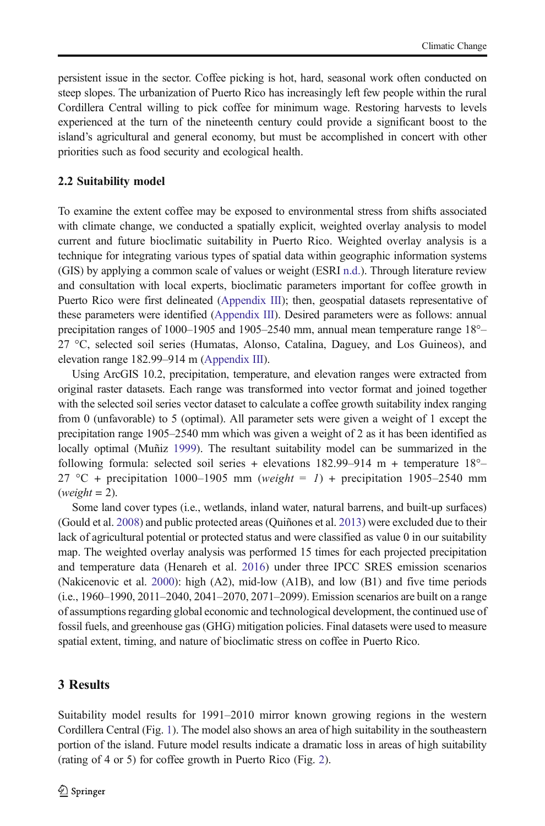persistent issue in the sector. Coffee picking is hot, hard, seasonal work often conducted on steep slopes. The urbanization of Puerto Rico has increasingly left few people within the rural Cordillera Central willing to pick coffee for minimum wage. Restoring harvests to levels experienced at the turn of the nineteenth century could provide a significant boost to the island's agricultural and general economy, but must be accomplished in concert with other priorities such as food security and ecological health.

#### 2.2 Suitability model

To examine the extent coffee may be exposed to environmental stress from shifts associated with climate change, we conducted a spatially explicit, weighted overlay analysis to model current and future bioclimatic suitability in Puerto Rico. Weighted overlay analysis is a technique for integrating various types of spatial data within geographic information systems (GIS) by applying a common scale of values or weight (ESRI [n.d.\)](#page-10-0). Through literature review and consultation with local experts, bioclimatic parameters important for coffee growth in Puerto Rico were first delineated (Appendix III); then, geospatial datasets representative of these parameters were identified (Appendix III). Desired parameters were as follows: annual precipitation ranges of 1000–1905 and 1905–2540 mm, annual mean temperature range 18°– 27 °C, selected soil series (Humatas, Alonso, Catalina, Daguey, and Los Guineos), and elevation range 182.99–914 m (Appendix III).

Using ArcGIS 10.2, precipitation, temperature, and elevation ranges were extracted from original raster datasets. Each range was transformed into vector format and joined together with the selected soil series vector dataset to calculate a coffee growth suitability index ranging from 0 (unfavorable) to 5 (optimal). All parameter sets were given a weight of 1 except the precipitation range 1905–2540 mm which was given a weight of 2 as it has been identified as locally optimal (Muñiz [1999](#page-11-0)). The resultant suitability model can be summarized in the following formula: selected soil series + elevations  $182.99-914$  m + temperature  $18^{\circ}$ -27 °C + precipitation 1000–1905 mm (weight = 1) + precipitation 1905–2540 mm  $(weight = 2)$ .

Some land cover types (i.e., wetlands, inland water, natural barrens, and built-up surfaces) (Gould et al. [2008](#page-10-0)) and public protected areas (Quiñones et al. [2013\)](#page-11-0) were excluded due to their lack of agricultural potential or protected status and were classified as value 0 in our suitability map. The weighted overlay analysis was performed 15 times for each projected precipitation and temperature data (Henareh et al. [2016](#page-10-0)) under three IPCC SRES emission scenarios (Nakicenovic et al. [2000\)](#page-11-0): high (A2), mid-low (A1B), and low (B1) and five time periods (i.e., 1960–1990, 2011–2040, 2041–2070, 2071–2099). Emission scenarios are built on a range of assumptions regarding global economic and technological development, the continued use of fossil fuels, and greenhouse gas (GHG) mitigation policies. Final datasets were used to measure spatial extent, timing, and nature of bioclimatic stress on coffee in Puerto Rico.

# 3 Results

Suitability model results for 1991–2010 mirror known growing regions in the western Cordillera Central (Fig. [1\)](#page-4-0). The model also shows an area of high suitability in the southeastern portion of the island. Future model results indicate a dramatic loss in areas of high suitability (rating of 4 or 5) for coffee growth in Puerto Rico (Fig. [2\)](#page-5-0).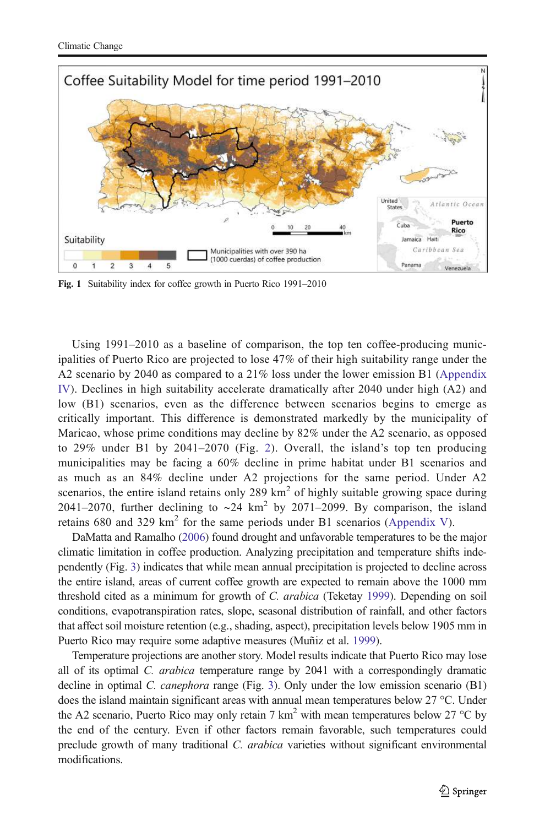<span id="page-4-0"></span>

Fig. 1 Suitability index for coffee growth in Puerto Rico 1991–2010

Using 1991–2010 as a baseline of comparison, the top ten coffee-producing municipalities of Puerto Rico are projected to lose 47% of their high suitability range under the A2 scenario by 2040 as compared to a 21% loss under the lower emission B1 (Appendix IV). Declines in high suitability accelerate dramatically after 2040 under high (A2) and low (B1) scenarios, even as the difference between scenarios begins to emerge as critically important. This difference is demonstrated markedly by the municipality of Maricao, whose prime conditions may decline by 82% under the A2 scenario, as opposed to 29% under B1 by 2041–2070 (Fig. [2\)](#page-5-0). Overall, the island's top ten producing municipalities may be facing a 60% decline in prime habitat under B1 scenarios and as much as an 84% decline under A2 projections for the same period. Under A2 scenarios, the entire island retains only 289  $km<sup>2</sup>$  of highly suitable growing space during 2041–2070, further declining to ~24 km<sup>2</sup> by 2071–2099. By comparison, the island retains 680 and 329  $km^2$  for the same periods under B1 scenarios (Appendix V).

DaMatta and Ramalho ([2006](#page-10-0)) found drought and unfavorable temperatures to be the major climatic limitation in coffee production. Analyzing precipitation and temperature shifts independently (Fig. [3\)](#page-6-0) indicates that while mean annual precipitation is projected to decline across the entire island, areas of current coffee growth are expected to remain above the 1000 mm threshold cited as a minimum for growth of C. arabica (Teketay [1999](#page-11-0)). Depending on soil conditions, evapotranspiration rates, slope, seasonal distribution of rainfall, and other factors that affect soil moisture retention (e.g., shading, aspect), precipitation levels below 1905 mm in Puerto Rico may require some adaptive measures (Muñiz et al. [1999](#page-11-0)).

Temperature projections are another story. Model results indicate that Puerto Rico may lose all of its optimal *C. arabica* temperature range by 2041 with a correspondingly dramatic decline in optimal C. *canephora* range (Fig. [3\)](#page-6-0). Only under the low emission scenario (B1) does the island maintain significant areas with annual mean temperatures below 27 °C. Under the A2 scenario, Puerto Rico may only retain 7 km<sup>2</sup> with mean temperatures below 27 °C by the end of the century. Even if other factors remain favorable, such temperatures could preclude growth of many traditional C. arabica varieties without significant environmental modifications.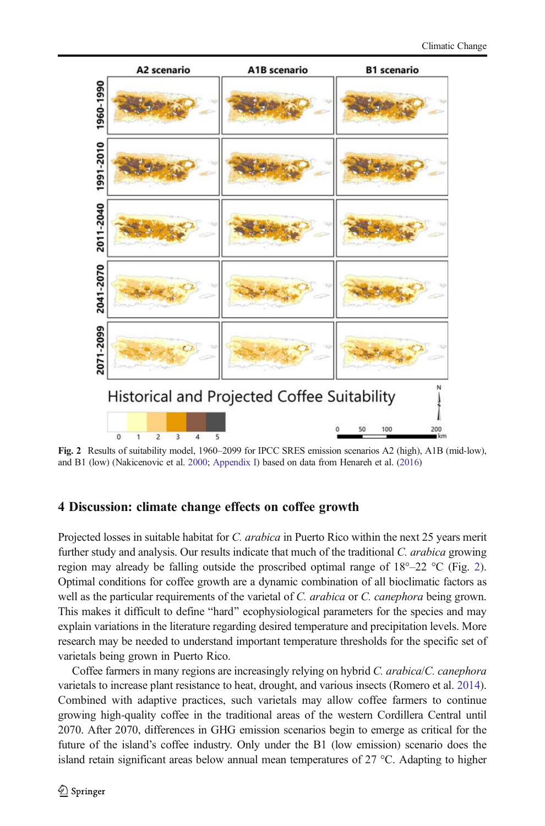<span id="page-5-0"></span>

Fig. 2 Results of suitability model, 1960–2099 for IPCC SRES emission scenarios A2 (high), A1B (mid-low), and B1 (low) (Nakicenovic et al. [2000](#page-11-0); Appendix I) based on data from Henareh et al. [\(2016\)](#page-10-0)

# 4 Discussion: climate change effects on coffee growth

Projected losses in suitable habitat for C. arabica in Puerto Rico within the next 25 years merit further study and analysis. Our results indicate that much of the traditional C. arabica growing region may already be falling outside the proscribed optimal range of  $18^{\circ}$ –22 °C (Fig. 2). Optimal conditions for coffee growth are a dynamic combination of all bioclimatic factors as well as the particular requirements of the varietal of C. arabica or C. canephora being grown. This makes it difficult to define "hard" ecophysiological parameters for the species and may explain variations in the literature regarding desired temperature and precipitation levels. More research may be needed to understand important temperature thresholds for the specific set of varietals being grown in Puerto Rico.

Coffee farmers in many regions are increasingly relying on hybrid C. arabica/C. canephora varietals to increase plant resistance to heat, drought, and various insects (Romero et al. [2014](#page-11-0)). Combined with adaptive practices, such varietals may allow coffee farmers to continue growing high-quality coffee in the traditional areas of the western Cordillera Central until 2070. After 2070, differences in GHG emission scenarios begin to emerge as critical for the future of the island's coffee industry. Only under the B1 (low emission) scenario does the island retain significant areas below annual mean temperatures of 27 °C. Adapting to higher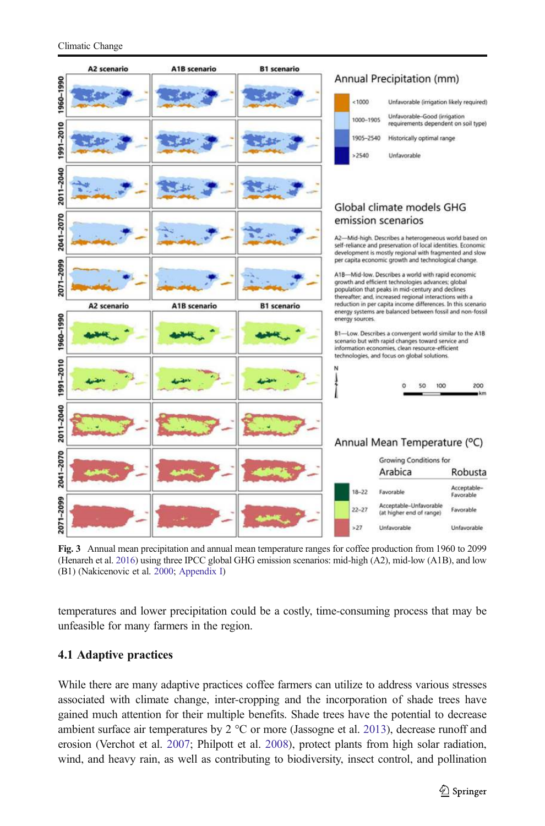<span id="page-6-0"></span>

Fig. 3 Annual mean precipitation and annual mean temperature ranges for coffee production from 1960 to 2099 (Henareh et al. [2016](#page-10-0)) using three IPCC global GHG emission scenarios: mid-high (A2), mid-low (A1B), and low (B1) (Nakicenovic et al. [2000;](#page-11-0) Appendix I)

temperatures and lower precipitation could be a costly, time-consuming process that may be unfeasible for many farmers in the region.

# 4.1 Adaptive practices

While there are many adaptive practices coffee farmers can utilize to address various stresses associated with climate change, inter-cropping and the incorporation of shade trees have gained much attention for their multiple benefits. Shade trees have the potential to decrease ambient surface air temperatures by 2 °C or more (Jassogne et al. [2013\)](#page-10-0), decrease runoff and erosion (Verchot et al. [2007](#page-11-0); Philpott et al. [2008\)](#page-11-0), protect plants from high solar radiation, wind, and heavy rain, as well as contributing to biodiversity, insect control, and pollination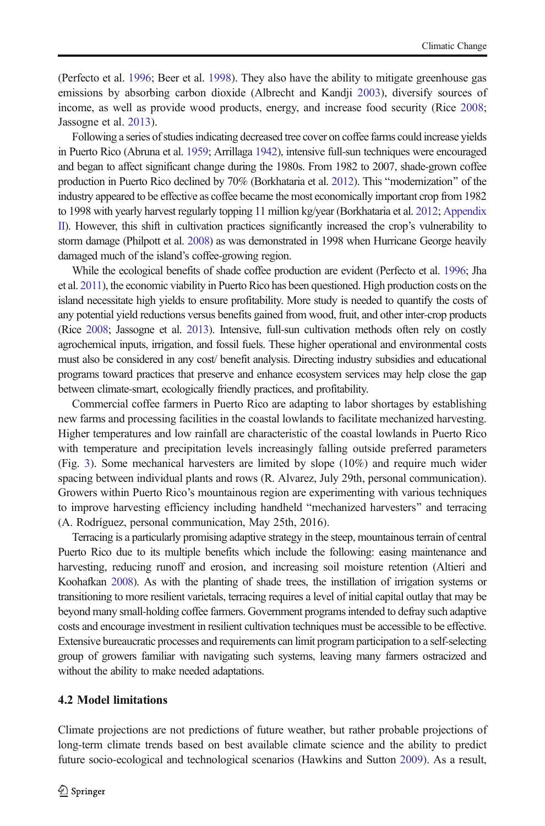(Perfecto et al. [1996](#page-11-0); Beer et al. [1998\)](#page-10-0). They also have the ability to mitigate greenhouse gas emissions by absorbing carbon dioxide (Albrecht and Kandji [2003](#page-9-0)), diversify sources of income, as well as provide wood products, energy, and increase food security (Rice [2008](#page-11-0); Jassogne et al. [2013\)](#page-10-0).

Following a series of studies indicating decreased tree cover on coffee farms could increase yields in Puerto Rico (Abruna et al. [1959;](#page-9-0) Arrillaga [1942\)](#page-9-0), intensive full-sun techniques were encouraged and began to affect significant change during the 1980s. From 1982 to 2007, shade-grown coffee production in Puerto Rico declined by 70% (Borkhataria et al. [2012](#page-10-0)). This "modernization" of the industry appeared to be effective as coffee became the most economically important crop from 1982 to 1998 with yearly harvest regularly topping 11 million kg/year (Borkhataria et al. [2012](#page-10-0); Appendix II). However, this shift in cultivation practices significantly increased the crop's vulnerability to storm damage (Philpott et al. [2008\)](#page-11-0) as was demonstrated in 1998 when Hurricane George heavily damaged much of the island's coffee-growing region.

While the ecological benefits of shade coffee production are evident (Perfecto et al. [1996;](#page-11-0) Jha et al. [2011](#page-11-0)), the economic viability in Puerto Rico has been questioned. High production costs on the island necessitate high yields to ensure profitability. More study is needed to quantify the costs of any potential yield reductions versus benefits gained from wood, fruit, and other inter-crop products (Rice [2008](#page-11-0); Jassogne et al. [2013](#page-10-0)). Intensive, full-sun cultivation methods often rely on costly agrochemical inputs, irrigation, and fossil fuels. These higher operational and environmental costs must also be considered in any cost/ benefit analysis. Directing industry subsidies and educational programs toward practices that preserve and enhance ecosystem services may help close the gap between climate-smart, ecologically friendly practices, and profitability.

Commercial coffee farmers in Puerto Rico are adapting to labor shortages by establishing new farms and processing facilities in the coastal lowlands to facilitate mechanized harvesting. Higher temperatures and low rainfall are characteristic of the coastal lowlands in Puerto Rico with temperature and precipitation levels increasingly falling outside preferred parameters (Fig. [3\)](#page-6-0). Some mechanical harvesters are limited by slope (10%) and require much wider spacing between individual plants and rows (R. Alvarez, July 29th, personal communication). Growers within Puerto Rico's mountainous region are experimenting with various techniques to improve harvesting efficiency including handheld "mechanized harvesters" and terracing (A. Rodríguez, personal communication, May 25th, 2016).

Terracing is a particularly promising adaptive strategy in the steep, mountainous terrain of central Puerto Rico due to its multiple benefits which include the following: easing maintenance and harvesting, reducing runoff and erosion, and increasing soil moisture retention (Altieri and Koohafkan [2008](#page-9-0)). As with the planting of shade trees, the instillation of irrigation systems or transitioning to more resilient varietals, terracing requires a level of initial capital outlay that may be beyond many small-holding coffee farmers. Government programs intended to defray such adaptive costs and encourage investment in resilient cultivation techniques must be accessible to be effective. Extensive bureaucratic processes and requirements can limit program participation to a self-selecting group of growers familiar with navigating such systems, leaving many farmers ostracized and without the ability to make needed adaptations.

### 4.2 Model limitations

Climate projections are not predictions of future weather, but rather probable projections of long-term climate trends based on best available climate science and the ability to predict future socio-ecological and technological scenarios (Hawkins and Sutton [2009](#page-10-0)). As a result,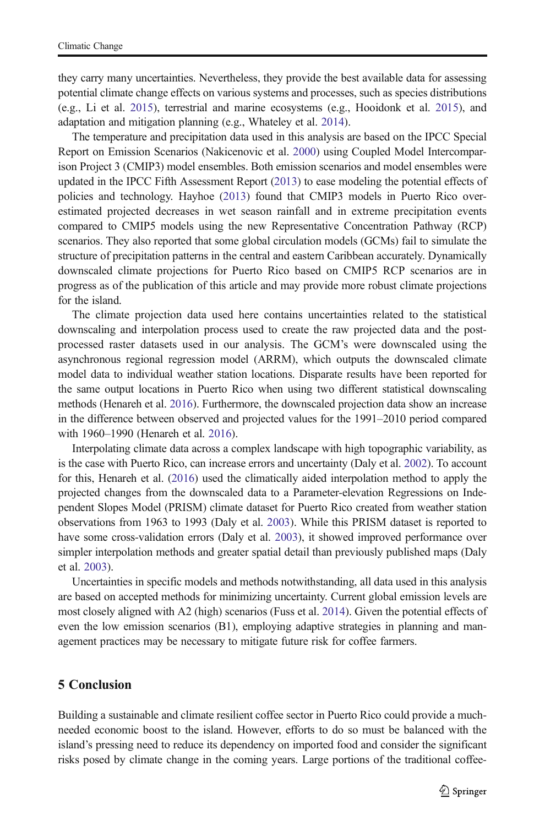they carry many uncertainties. Nevertheless, they provide the best available data for assessing potential climate change effects on various systems and processes, such as species distributions (e.g., Li et al. [2015\)](#page-11-0), terrestrial and marine ecosystems (e.g., Hooidonk et al. [2015\)](#page-11-0), and adaptation and mitigation planning (e.g., Whateley et al. [2014\)](#page-11-0).

The temperature and precipitation data used in this analysis are based on the IPCC Special Report on Emission Scenarios (Nakicenovic et al. [2000\)](#page-11-0) using Coupled Model Intercomparison Project 3 (CMIP3) model ensembles. Both emission scenarios and model ensembles were updated in the IPCC Fifth Assessment Report [\(2013\)](#page-10-0) to ease modeling the potential effects of policies and technology. Hayhoe [\(2013\)](#page-10-0) found that CMIP3 models in Puerto Rico overestimated projected decreases in wet season rainfall and in extreme precipitation events compared to CMIP5 models using the new Representative Concentration Pathway (RCP) scenarios. They also reported that some global circulation models (GCMs) fail to simulate the structure of precipitation patterns in the central and eastern Caribbean accurately. Dynamically downscaled climate projections for Puerto Rico based on CMIP5 RCP scenarios are in progress as of the publication of this article and may provide more robust climate projections for the island.

The climate projection data used here contains uncertainties related to the statistical downscaling and interpolation process used to create the raw projected data and the postprocessed raster datasets used in our analysis. The GCM's were downscaled using the asynchronous regional regression model (ARRM), which outputs the downscaled climate model data to individual weather station locations. Disparate results have been reported for the same output locations in Puerto Rico when using two different statistical downscaling methods (Henareh et al. [2016](#page-10-0)). Furthermore, the downscaled projection data show an increase in the difference between observed and projected values for the 1991–2010 period compared with 1960–1990 (Henareh et al. [2016\)](#page-10-0).

Interpolating climate data across a complex landscape with high topographic variability, as is the case with Puerto Rico, can increase errors and uncertainty (Daly et al. [2002](#page-10-0)). To account for this, Henareh et al. [\(2016\)](#page-10-0) used the climatically aided interpolation method to apply the projected changes from the downscaled data to a Parameter-elevation Regressions on Independent Slopes Model (PRISM) climate dataset for Puerto Rico created from weather station observations from 1963 to 1993 (Daly et al. [2003](#page-10-0)). While this PRISM dataset is reported to have some cross-validation errors (Daly et al. [2003](#page-10-0)), it showed improved performance over simpler interpolation methods and greater spatial detail than previously published maps (Daly et al. [2003](#page-10-0)).

Uncertainties in specific models and methods notwithstanding, all data used in this analysis are based on accepted methods for minimizing uncertainty. Current global emission levels are most closely aligned with A2 (high) scenarios (Fuss et al. [2014](#page-10-0)). Given the potential effects of even the low emission scenarios (B1), employing adaptive strategies in planning and management practices may be necessary to mitigate future risk for coffee farmers.

# 5 Conclusion

Building a sustainable and climate resilient coffee sector in Puerto Rico could provide a muchneeded economic boost to the island. However, efforts to do so must be balanced with the island's pressing need to reduce its dependency on imported food and consider the significant risks posed by climate change in the coming years. Large portions of the traditional coffee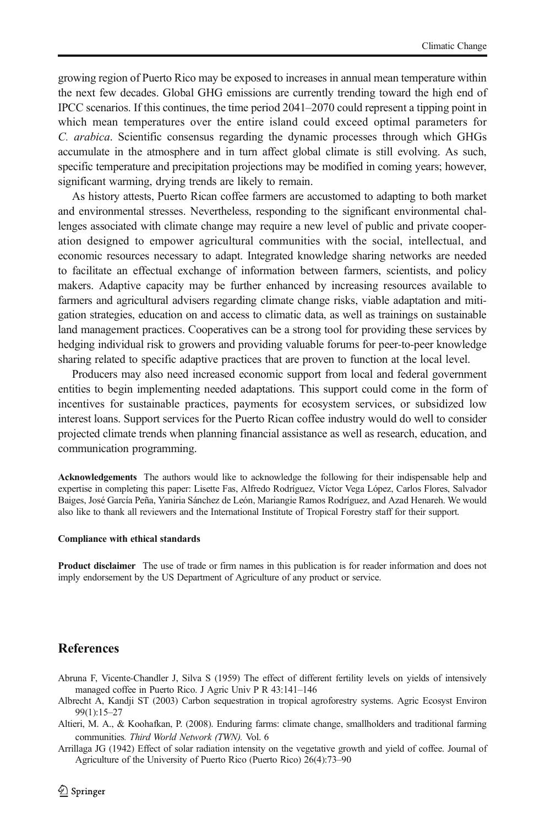<span id="page-9-0"></span>growing region of Puerto Rico may be exposed to increases in annual mean temperature within the next few decades. Global GHG emissions are currently trending toward the high end of IPCC scenarios. If this continues, the time period 2041–2070 could represent a tipping point in which mean temperatures over the entire island could exceed optimal parameters for C. arabica. Scientific consensus regarding the dynamic processes through which GHGs accumulate in the atmosphere and in turn affect global climate is still evolving. As such, specific temperature and precipitation projections may be modified in coming years; however, significant warming, drying trends are likely to remain.

As history attests, Puerto Rican coffee farmers are accustomed to adapting to both market and environmental stresses. Nevertheless, responding to the significant environmental challenges associated with climate change may require a new level of public and private cooperation designed to empower agricultural communities with the social, intellectual, and economic resources necessary to adapt. Integrated knowledge sharing networks are needed to facilitate an effectual exchange of information between farmers, scientists, and policy makers. Adaptive capacity may be further enhanced by increasing resources available to farmers and agricultural advisers regarding climate change risks, viable adaptation and mitigation strategies, education on and access to climatic data, as well as trainings on sustainable land management practices. Cooperatives can be a strong tool for providing these services by hedging individual risk to growers and providing valuable forums for peer-to-peer knowledge sharing related to specific adaptive practices that are proven to function at the local level.

Producers may also need increased economic support from local and federal government entities to begin implementing needed adaptations. This support could come in the form of incentives for sustainable practices, payments for ecosystem services, or subsidized low interest loans. Support services for the Puerto Rican coffee industry would do well to consider projected climate trends when planning financial assistance as well as research, education, and communication programming.

Acknowledgements The authors would like to acknowledge the following for their indispensable help and expertise in completing this paper: Lisette Fas, Alfredo Rodríguez, Víctor Vega López, Carlos Flores, Salvador Baiges, José García Peña, Yaniria Sánchez de León, Mariangie Ramos Rodríguez, and Azad Henareh. We would also like to thank all reviewers and the International Institute of Tropical Forestry staff for their support.

#### Compliance with ethical standards

Product disclaimer The use of trade or firm names in this publication is for reader information and does not imply endorsement by the US Department of Agriculture of any product or service.

# References

- Abruna F, Vicente-Chandler J, Silva S (1959) The effect of different fertility levels on yields of intensively managed coffee in Puerto Rico. J Agric Univ P R 43:141–146
- Albrecht A, Kandji ST (2003) Carbon sequestration in tropical agroforestry systems. Agric Ecosyst Environ 99(1):15–27
- Altieri, M. A., & Koohafkan, P. (2008). Enduring farms: climate change, smallholders and traditional farming communities. Third World Network (TWN). Vol. 6

Arrillaga JG (1942) Effect of solar radiation intensity on the vegetative growth and yield of coffee. Journal of Agriculture of the University of Puerto Rico (Puerto Rico) 26(4):73–90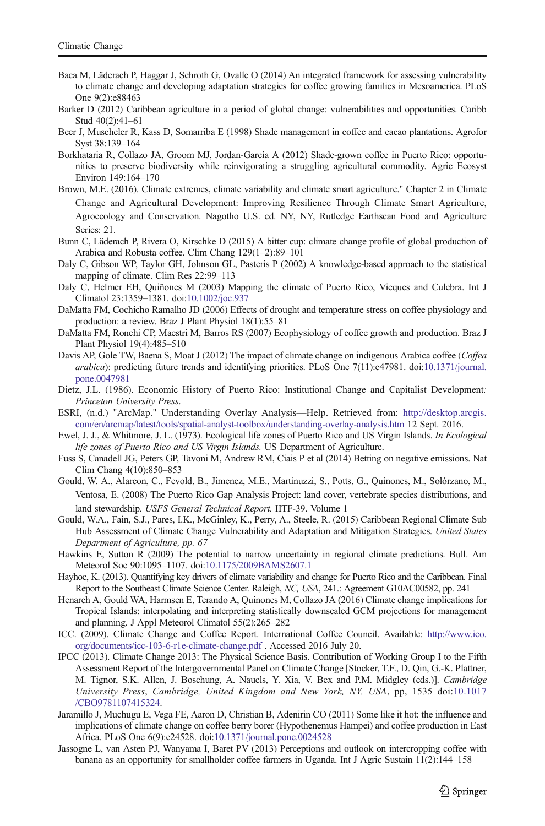- <span id="page-10-0"></span>Baca M, Läderach P, Haggar J, Schroth G, Ovalle O (2014) An integrated framework for assessing vulnerability to climate change and developing adaptation strategies for coffee growing families in Mesoamerica. PLoS One 9(2):e88463
- Barker D (2012) Caribbean agriculture in a period of global change: vulnerabilities and opportunities. Caribb Stud 40(2):41–61
- Beer J, Muscheler R, Kass D, Somarriba E (1998) Shade management in coffee and cacao plantations. Agrofor Syst 38:139–164
- Borkhataria R, Collazo JA, Groom MJ, Jordan-Garcia A (2012) Shade-grown coffee in Puerto Rico: opportunities to preserve biodiversity while reinvigorating a struggling agricultural commodity. Agric Ecosyst Environ 149:164–170
- Brown, M.E. (2016). Climate extremes, climate variability and climate smart agriculture." Chapter 2 in Climate Change and Agricultural Development: Improving Resilience Through Climate Smart Agriculture, Agroecology and Conservation. Nagotho U.S. ed. NY, NY, Rutledge Earthscan Food and Agriculture Series: 21.
- Bunn C, Läderach P, Rivera O, Kirschke D (2015) A bitter cup: climate change profile of global production of Arabica and Robusta coffee. Clim Chang 129(1–2):89–101
- Daly C, Gibson WP, Taylor GH, Johnson GL, Pasteris P (2002) A knowledge-based approach to the statistical mapping of climate. Clim Res 22:99–113
- Daly C, Helmer EH, Quiñones M (2003) Mapping the climate of Puerto Rico, Vieques and Culebra. Int J Climatol 23:1359–1381. doi:[10.1002/joc.937](http://dx.doi.org/10.1002/joc.937)
- DaMatta FM, Cochicho Ramalho JD (2006) Effects of drought and temperature stress on coffee physiology and production: a review. Braz J Plant Physiol 18(1):55–81
- DaMatta FM, Ronchi CP, Maestri M, Barros RS (2007) Ecophysiology of coffee growth and production. Braz J Plant Physiol 19(4):485–510
- Davis AP, Gole TW, Baena S, Moat J (2012) The impact of climate change on indigenous Arabica coffee (Coffea arabica): predicting future trends and identifying priorities. PLoS One 7(11):e47981. doi[:10.1371/journal.](http://dx.doi.org/10.1371/journal.pone.0047981) [pone.0047981](http://dx.doi.org/10.1371/journal.pone.0047981)
- Dietz, J.L. (1986). Economic History of Puerto Rico: Institutional Change and Capitalist Development: Princeton University Press.
- ESRI, (n.d.) "ArcMap." Understanding Overlay Analysis—Help. Retrieved from: [http://desktop.arcgis.](http://desktop.arcgis.com/en/arcmap/latest/tools/spatial-analyst-toolbox/understanding-overlay-analysis.htm) [com/en/arcmap/latest/tools/spatial-analyst-toolbox/understanding-overlay-analysis.htm](http://desktop.arcgis.com/en/arcmap/latest/tools/spatial-analyst-toolbox/understanding-overlay-analysis.htm) 12 Sept. 2016.
- Ewel, J. J., & Whitmore, J. L. (1973). Ecological life zones of Puerto Rico and US Virgin Islands. In Ecological life zones of Puerto Rico and US Virgin Islands. US Department of Agriculture.
- Fuss S, Canadell JG, Peters GP, Tavoni M, Andrew RM, Ciais P et al (2014) Betting on negative emissions. Nat Clim Chang 4(10):850–853
- Gould, W. A., Alarcon, C., Fevold, B., Jimenez, M.E., Martinuzzi, S., Potts, G., Quinones, M., Solórzano, M., Ventosa, E. (2008) The Puerto Rico Gap Analysis Project: land cover, vertebrate species distributions, and land stewardship. USFS General Technical Report. IITF-39. Volume 1
- Gould, W.A., Fain, S.J., Pares, I.K., McGinley, K., Perry, A., Steele, R. (2015) Caribbean Regional Climate Sub Hub Assessment of Climate Change Vulnerability and Adaptation and Mitigation Strategies. United States Department of Agriculture, pp. 67
- Hawkins E, Sutton R (2009) The potential to narrow uncertainty in regional climate predictions. Bull. Am Meteorol Soc 90:1095–1107. doi:[10.1175/2009BAMS2607.1](http://dx.doi.org/10.1175/2009BAMS2607.1)
- Hayhoe, K. (2013). Quantifying key drivers of climate variability and change for Puerto Rico and the Caribbean. Final Report to the Southeast Climate Science Center. Raleigh, NC, USA, 241.: Agreement G10AC00582, pp. 241
- Henareh A, Gould WA, Harmsen E, Terando A, Quinones M, Collazo JA (2016) Climate change implications for Tropical Islands: interpolating and interpreting statistically downscaled GCM projections for management and planning. J Appl Meteorol Climatol 55(2):265–282
- ICC. (2009). Climate Change and Coffee Report. International Coffee Council. Available: [http://www.ico.](http://www.ico.org/documents/icc-103-6-r1e-climate-change.pdf) [org/documents/icc-103-6-r1e-climate-change.pdf](http://www.ico.org/documents/icc-103-6-r1e-climate-change.pdf) . Accessed 2016 July 20.
- IPCC (2013). Climate Change 2013: The Physical Science Basis. Contribution of Working Group I to the Fifth Assessment Report of the Intergovernmental Panel on Climate Change [Stocker, T.F., D. Qin, G.-K. Plattner, M. Tignor, S.K. Allen, J. Boschung, A. Nauels, Y. Xia, V. Bex and P.M. Midgley (eds.)]. Cambridge University Press, Cambridge, United Kingdom and New York, NY, USA, pp, 1535 doi:[10.1017](http://dx.doi.org/10.1017/CBO9781107415324) [/CBO9781107415324.](http://dx.doi.org/10.1017/CBO9781107415324)
- Jaramillo J, Muchugu E, Vega FE, Aaron D, Christian B, Adenirin CO (2011) Some like it hot: the influence and implications of climate change on coffee berry borer (Hypothenemus Hampei) and coffee production in East Africa. PLoS One 6(9):e24528. doi:[10.1371/journal.pone.0024528](http://dx.doi.org/10.1371/journal.pone.0024528)
- Jassogne L, van Asten PJ, Wanyama I, Baret PV (2013) Perceptions and outlook on intercropping coffee with banana as an opportunity for smallholder coffee farmers in Uganda. Int J Agric Sustain 11(2):144–158